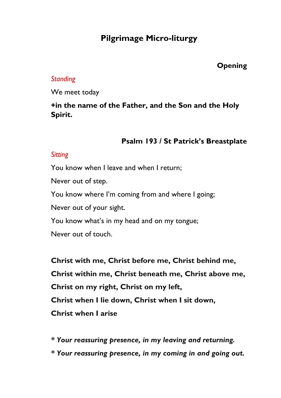# **Pilgrimage Micro-liturgy**

## **Opening**

#### *Standing*

We meet today

## **+in the name of the Father, and the Son and the Holy Spirit.**

## **Psalm 193 / St Patrick's Breastplate**

## *Sitting*

You know when I leave and when I return;

Never out of step.

You know where I'm coming from and where I going;

Never out of your sight.

You know what's in my head and on my tongue;

Never out of touch.

**Christ with me, Christ before me, Christ behind me, Christ within me, Christ beneath me, Christ above me, Christ on my right, Christ on my left, Christ when I lie down, Christ when I sit down, Christ when I arise** 

*\* Your reassuring presence, in my leaving and returning.* 

*\* Your reassuring presence, in my coming in and going out.*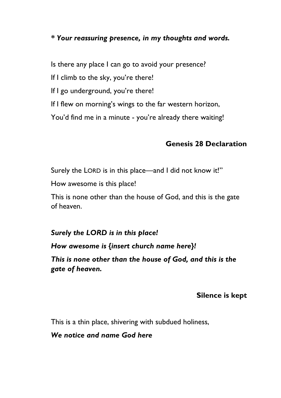#### *\* Your reassuring presence, in my thoughts and words.*

Is there any place I can go to avoid your presence?

If I climb to the sky, you're there!

If I go underground, you're there!

If I flew on morning's wings to the far western horizon,

You'd find me in a minute - you're already there waiting!

## **Genesis 28 Declaration**

Surely the LORD is in this place—and I did not know it!"

How awesome is this place!

This is none other than the house of God, and this is the gate of heaven.

## *Surely the LORD is in this place!*

*How awesome is {insert church name here}!* 

*This is none other than the house of God, and this is the gate of heaven.*

## **Silence is kept**

This is a thin place, shivering with subdued holiness,

*We notice and name God here*